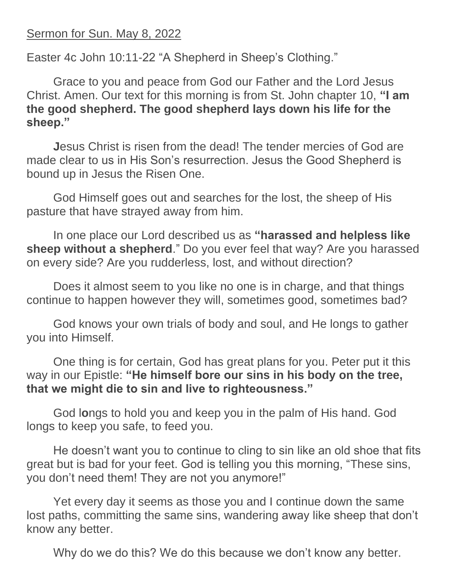## Sermon for Sun. May 8, 2022

Easter 4c John 10:11-22 "A Shepherd in Sheep's Clothing."

Grace to you and peace from God our Father and the Lord Jesus Christ. Amen. Our text for this morning is from St. John chapter 10, **"I am the good shepherd. The good shepherd lays down his life for the sheep."**

**Jesus Christ is risen from the dead! The tender mercies of God are** made clear to us in His Son's resurrection. Jesus the Good Shepherd is bound up in Jesus the Risen One.

God Himself goes out and searches for the lost, the sheep of His pasture that have strayed away from him.

In one place our Lord described us as **"harassed and helpless like sheep without a shepherd**." Do you ever feel that way? Are you harassed on every side? Are you rudderless, lost, and without direction?

Does it almost seem to you like no one is in charge, and that things continue to happen however they will, sometimes good, sometimes bad?

God knows your own trials of body and soul, and He longs to gather you into Himself.

One thing is for certain, God has great plans for you. Peter put it this way in our Epistle: **"He himself bore our sins in his body on the tree, that we might die to sin and live to righteousness."**

God l**o**ngs to hold you and keep you in the palm of His hand. God longs to keep you safe, to feed you.

He doesn't want you to continue to cling to sin like an old shoe that fits great but is bad for your feet. God is telling you this morning, "These sins, you don't need them! They are not you anymore!"

Yet every day it seems as those you and I continue down the same lost paths, committing the same sins, wandering away like sheep that don't know any better.

Why do we do this? We do this because we don't know any better.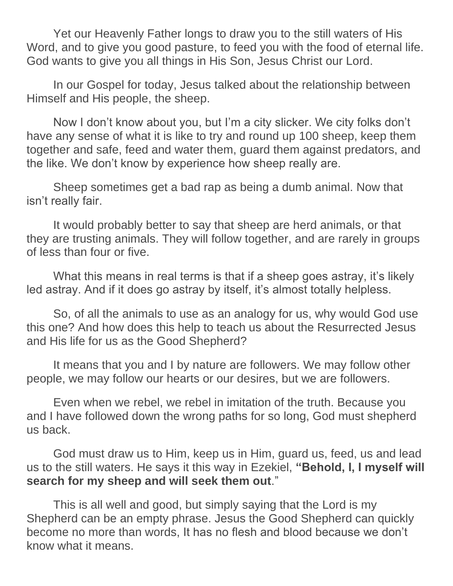Yet our Heavenly Father longs to draw you to the still waters of His Word, and to give you good pasture, to feed you with the food of eternal life. God wants to give you all things in His Son, Jesus Christ our Lord.

In our Gospel for today, Jesus talked about the relationship between Himself and His people, the sheep.

Now I don't know about you, but I'm a city slicker. We city folks don't have any sense of what it is like to try and round up 100 sheep, keep them together and safe, feed and water them, guard them against predators, and the like. We don't know by experience how sheep really are.

Sheep sometimes get a bad rap as being a dumb animal. Now that isn't really fair.

It would probably better to say that sheep are herd animals, or that they are trusting animals. They will follow together, and are rarely in groups of less than four or five.

What this means in real terms is that if a sheep goes astray, it's likely led astray. And if it does go astray by itself, it's almost totally helpless.

So, of all the animals to use as an analogy for us, why would God use this one? And how does this help to teach us about the Resurrected Jesus and His life for us as the Good Shepherd?

It means that you and I by nature are followers. We may follow other people, we may follow our hearts or our desires, but we are followers.

Even when we rebel, we rebel in imitation of the truth. Because you and I have followed down the wrong paths for so long, God must shepherd us back.

God must draw us to Him, keep us in Him, guard us, feed, us and lead us to the still waters. He says it this way in Ezekiel, **"Behold, I, I myself will search for my sheep and will seek them out**."

This is all well and good, but simply saying that the Lord is my Shepherd can be an empty phrase. Jesus the Good Shepherd can quickly become no more than words, It has no flesh and blood because we don't know what it means.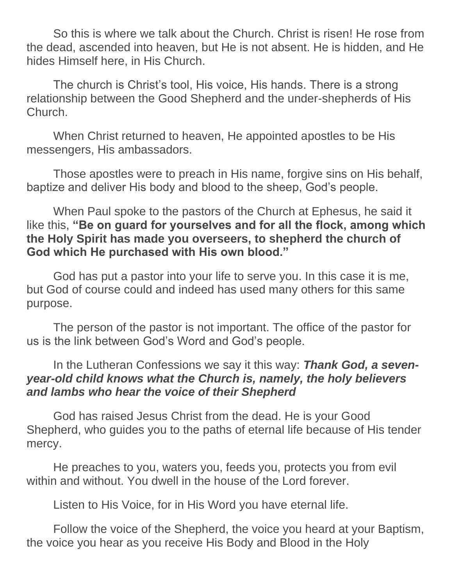So this is where we talk about the Church. Christ is risen! He rose from the dead, ascended into heaven, but He is not absent. He is hidden, and He hides Himself here, in His Church.

The church is Christ's tool, His voice, His hands. There is a strong relationship between the Good Shepherd and the under-shepherds of His Church.

When Christ returned to heaven, He appointed apostles to be His messengers, His ambassadors.

Those apostles were to preach in His name, forgive sins on His behalf, baptize and deliver His body and blood to the sheep, God's people.

When Paul spoke to the pastors of the Church at Ephesus, he said it like this, **"Be on guard for yourselves and for all the flock, among which the Holy Spirit has made you overseers, to shepherd the church of God which He purchased with His own blood."** 

God has put a pastor into your life to serve you. In this case it is me, but God of course could and indeed has used many others for this same purpose.

The person of the pastor is not important. The office of the pastor for us is the link between God's Word and God's people.

## In the Lutheran Confessions we say it this way: *Thank God, a sevenyear-old child knows what the Church is, namely, the holy believers and lambs who hear the voice of their Shepherd*

God has raised Jesus Christ from the dead. He is your Good Shepherd, who guides you to the paths of eternal life because of His tender mercy.

He preaches to you, waters you, feeds you, protects you from evil within and without. You dwell in the house of the Lord forever.

Listen to His Voice, for in His Word you have eternal life.

Follow the voice of the Shepherd, the voice you heard at your Baptism, the voice you hear as you receive His Body and Blood in the Holy